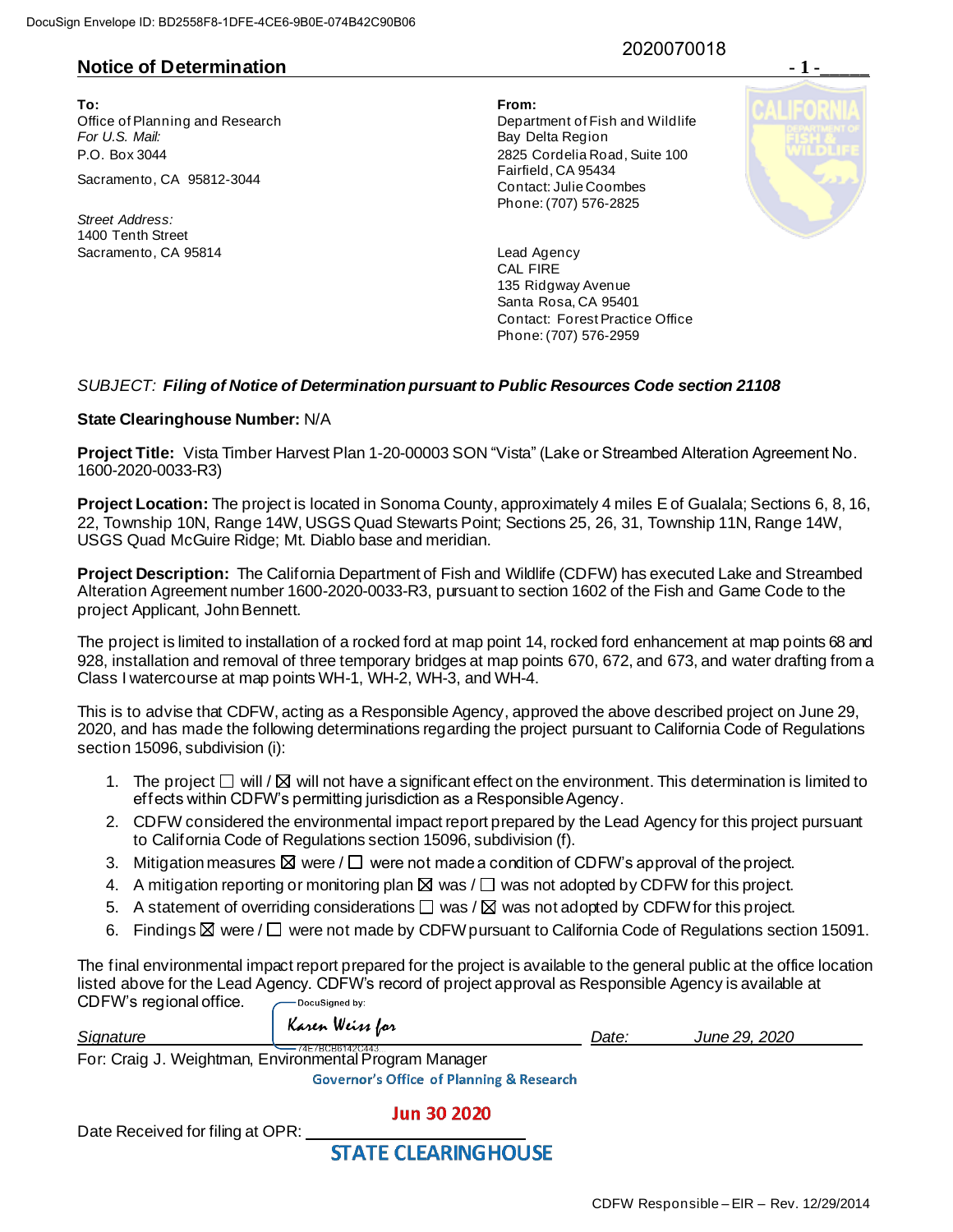# **Notice of Determination**

**To: From:**  Office of Planning and Research Department of Fish and Wildlife For U.S. Mail: **Bay Delta Region** P.O. Box 3044 2825 Cordelia Road, Suite 100

*Street Address:* 1400 Tenth Street Sacramento, CA 95814 **Lead Agency**  2020070018

Sacramento, CA 95812-3044 Fairfield, CA 95434 Contact: Julie Coombes Phone: (707) 576-2825



CAL FIRE 135 Ridgway Avenue Santa Rosa, CA 95401 Contact: Forest Practice Office Phone: (707) 576-2959

### *SUBJECT: Filing of Notice of Determination pursuant to Public Resources Code section 21108*

#### **State Clearinghouse Number:** N/A

**Project Title:** Vista Timber Harvest Plan 1-20-00003 SON "Vista" (Lake or Streambed Alteration Agreement No. 1600-2020-0033-R3)

**Project Location:** The project is located in Sonoma County, approximately 4 miles E of Gualala; Sections 6, 8, 16, 22, Township 10N, Range 14W, USGS Quad Stewarts Point; Sections 25, 26, 31, Township 11N, Range 14W, USGS Quad McGuire Ridge; Mt. Diablo base and meridian.

**Project Description:** The California Department of Fish and Wildlife (CDFW) has executed Lake and Streambed Alteration Agreement number 1600-2020-0033-R3, pursuant to section 1602 of the Fish and Game Code to the project Applicant, John Bennett.

The project is limited to installation of a rocked ford at map point 14, rocked ford enhancement at map points 68 and 928, installation and removal of three temporary bridges at map points 670, 672, and 673, and water drafting from a Class I watercourse at map points WH-1, WH-2, WH-3, and WH-4.

This is to advise that CDFW, acting as a Responsible Agency, approved the above described project on June 29, 2020, and has made the following determinations regarding the project pursuant to California Code of Regulations section 15096, subdivision (i):

- 1. The project  $\Box$  will /  $\boxtimes$  will not have a significant effect on the environment. This determination is limited to effects within CDFW's permitting jurisdiction as a Responsible Agency.
- 2. CDFW considered the environmental impact report prepared by the Lead Agency for this project pursuant to California Code of Regulations section 15096, subdivision (f).
- 3. Mitigation measures  $\boxtimes$  were /  $\square$  were not made a condition of CDFW's approval of the project.
- 4. A mitigation reporting or monitoring plan  $\boxtimes$  was  $/\Box$  was not adopted by CDFW for this project.
- 5. A statement of overriding considerations  $\square$  was /  $\square$  was not adopted by CDFW for this project.
- 6. Findings  $\boxtimes$  were /  $\Box$  were not made by CDFW pursuant to California Code of Regulations section 15091.

The final environmental impact report prepared for the project is available to the general public at the office location listed above for the Lead Agency. CDFW's record of project approval as Responsible Agency is available at CDFW's regional office. -DocuSigned by:

| Signature                                                                   | Karen Weiss for | Date: | June 29, 2020 |  |
|-----------------------------------------------------------------------------|-----------------|-------|---------------|--|
| ——74F7BCB6142C443<br>For: Craig J. Weightman, Environmental Program Manager |                 |       |               |  |

**Governor's Office of Planning & Research** 

## **Jun 30 2020**

Date Received for filing at OPR:

**STATE CLEARING HOUSE**